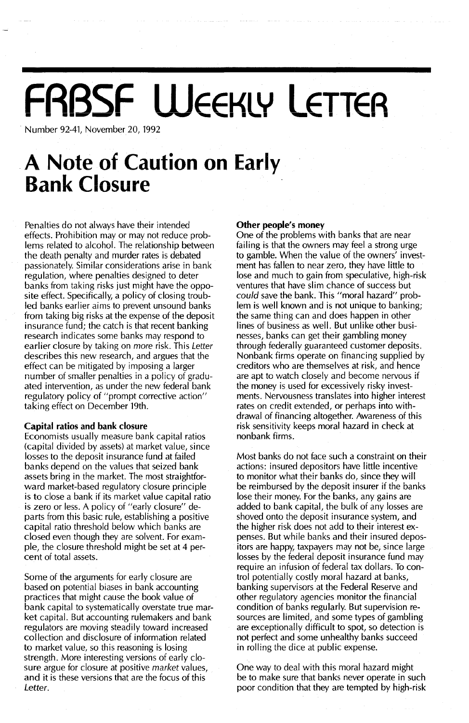# FRBSF WEEKLY LETTER

Number 92-41, November 20, 1992

## **A Note of Caution on Early Bank Closure**

Penalties do not always have their intended effects. Prohibition may or may not reduce problems related to alcohol. The relationship between the death penalty and murder rates is debated passionately. Similar considerations arise in bank regulation, where penalties designed to deter banks from taking risks just might have the opposite effect. Specifically, a policy of closing troubled banks earlier aims to prevent unsound banks from taking big risks at the expense of the deposit insurance fund; the catch is that recent banking research indicates some banks may respond to earlier closure by taking on more risk. This Letter describes this new research, and argues that the effect can be mitigated by imposing a larger number of smaller penalties in a policy of graduated intervention, as under the new federal bank regulatory policy of "prompt corrective action" taking effect on December 19th.

#### **Capital ratios and bank closure**

Economists usually measure bank capital ratios (capital divided by assets) at market value, since losses to the deposit insurance fund at failed banks depend on the values that seized bank assets bring in the market. The most straightforward market-based regulatory closure principle is to close a bank if its market value capital ratio is zero or less. A policy of "early closure" departs from this basic rule, establishing a positive capital ratio threshold below which banks are closed even though they are solvent. For example, the closure threshold might be set at 4 percent of total assets.

Some of the arguments for early closure are based on potential biases in bank accounting practices that might cause the book value of bank capital to systematically overstate true market capital. But accounting rulemakers and bank regulators are moving steadily toward increased collection and disclosure of information related to market value, so this reasoning is losing strength. More interesting versions of early closure argue for closure at positive market values, and it is these versions that are the focus of this Letter.

#### **Other people's money**

One of the problems with banks that are near failing is that the owners may feel a strong urge to gamble. When the value of the owners' investment has fallen to near zero, they have little to lose and much to gain from speculative, high-risk ventures that have slim chance of success but *could* save the bank. This "moral hazard" problem is well known and is not unique to banking; the same thing can and does happen in other lines of business as well. But unlike other businesses, banks can get their gambling money through federally guaranteed customer deposits. Nonbank firms operate on financing supplied by creditors who are themselves at risk, and hence are apt to watch closely and become nervous if the money is used for excessively risky investments. Nervousness translates into higher interest rates on credit extended, or perhaps into withdrawal of financing altogether. Awareness of this risk sensitivity keeps moral hazard in check at nonbank firms.

Most banks do not face such a constraint on their actions: insured depositors have little incentive to monitor what their banks do, since they will be reimbursed by the deposit insurer if the banks lose their money. For the banks, any gains are added to bank capital, the bulk of any losses are shoved onto the deposit insurance system, and the higher risk does not add to their interest expenses. But while banks and their insured depositors are happy, taxpayers may not be, since large losses by the federal deposit insurance fund may require an infusion of federal tax dollars. To control potentially costly moral hazard at banks, banking supervisors at the Federal Reserve and other regulatory agencies monitor the financial condition of banks regularly. But supervision resources are limited, and some types of gambling are exceptionally difficult to spot, so detection is not perfect and some unhealthy banks succeed in rolling the dice at public expense.

One way to deal with this moral hazard might be to make sure that banks never operate in such poor condition that they are tempted by high-risk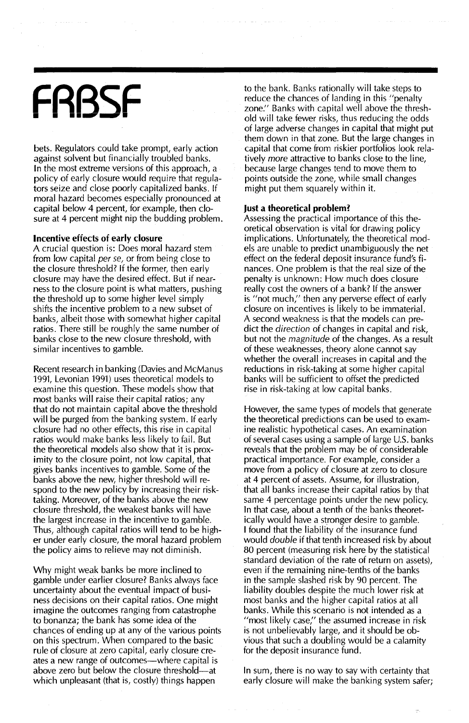## **FRBSF**

bets. Regulators could take prompt, early action against solvent but financially troubled banks. In the most extreme versions of this approach, a policy of early closure would require that regulators seize and close poorly capitalized banks. If moral hazard becomes especially pronounced at capital below 4 percent, for example, then closure at 4 percent might nip the budding problem.

#### **Incentive effects of early closure**

A crucial question is: Does moral hazard stem **from 10\1,1 capital per** *S€,* **or from being close to** the closure threshold? if the former, then early closure may have the desired effect. But if nearness to the closure point is what matters, pushing the threshold up to some higher level simply shifts the incentive problem to a new subset of banks, albeit those with somewhat higher capital ratios. There still be roughly the same number of banks close to the new closure threshold, with similar incentives to gamble.

Recent research in banking (Davies and McManus 1991, Levonian 1991) uses theoretical models to examine this question. These models show that most banks will raise their capital ratios; any that do not maintain capital above the threshold will be purged from the banking system. If early closure had no other effects, this rise in capital ratios would make banks less likely to fail. But the theoretical models also show that it is proximity to the closure point, not low capital, that gives banks incentives to gamble. Some of the banks above the new, higher threshold will respond to the new policy by increasing their risktaking. Moreover, of the banks above the new closure threshold, the weakest banks will have the largest increase in the incentive to gamble. Thus, although capital ratios will tend to be higher under early closure, the moral hazard problem the policy aims to relieve may not diminish.

Why might weak banks be more inclined to gamble under earlier closure? Banks always face uncertainty about the eventual impact of business decisions on their capital ratios. One might imagine the outcomes ranging from catastrophe to bonanza; the bank has some idea of the chances of ending up at any of the various points on this spectrum. When compared to the basic rule of closure at zero capital, early closure creates a new range of outcomes—where capital is above zero but below the closure threshold—at which unpleasant (that is, costly) things happen

to the bank. Banks rationally will take steps to reduce the chances of landing in this "penalty zone:' Banks with capital well above the threshold will take fewer risks, thus reducing the odds of large adverse changes in capital that might put them down in that zone. But the large changes in capital that come from riskier portfolios look relatively *more* attractive to banks close to the line, because large changes tend to move them to points outside the zone, while small changes might put them squarely within it.

#### **Just a theoretical problem?**

Assessing the practical importance of this theoretical observation is vital for drawing policy implications. Unfortunately, the theoretical models are unable to predict unambiguously the net **effect on the federal deposit insurance fund's fi**nances. One problem is that the real size of the penalty is unknown: How much does closure really cost the owners of a bank? If the answer is "not much," then any perverse effect of early closure on incentives is likely to be immaterial. A second weakness is that the models can predict the *direction* of changes in capital and risk, but not the *magnitude* of the changes. As a result of these weaknesses, theory alone cannot say whether the overall increases in capital and the reductions in risk-taking at some higher capital banks will be sufficient to offset the predicted rise in risk-taking at low capital banks.

However, the same types of models that generate the theoretical predictions can be used to examine realistic hypothetical cases. An examination of several cases using a sample of large  $U.S.$  banks reveals that the problem may be of considerable practical importance. For example, consider a move from a policy of closure at zero to closure at 4 percent of assets. Assume, for illustration, that all banks increase their capital ratios by that same 4 percentage points under the new policy. In that case, about a tenth of the banks theoretically would have a stronger desire to gamble. I found that the liability of the insurance fund would *double* if that tenth increased risk by about 80 percent (measuring risk here by the statistical standard deviation of the rate of return on assets), even if the remaining nine-tenths of the banks in the sample slashed risk by 90 percent. The liability doubles despite the much lower risk at most banks and the higher capital ratios at all banks. While this scenario is not intended as a "most likely case;' the assumed increase in risk is not unbelievably large, and it should be obvious that such a doubling would be a calamity for the deposit insurance fund.

In sum, there is no way to say with certainty that early closure will make the banking system safer;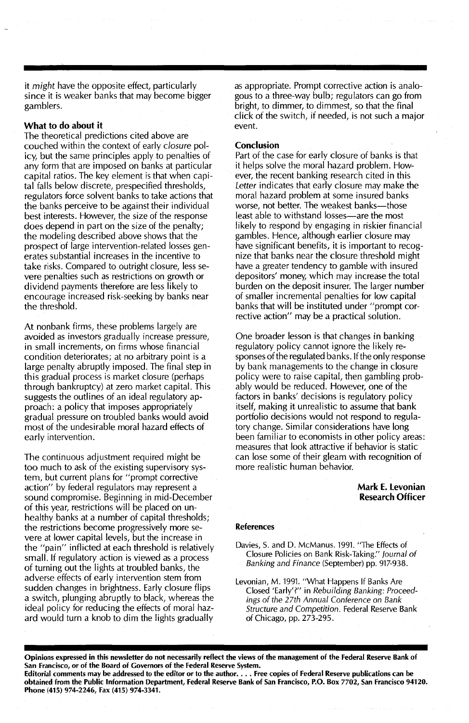it *might* have the opposite effect, particularly since it is weaker banks that may become bigger gamblers.

#### What to do about it

The theoretical predictions cited above are couched within the context of early *closure* policy, but the same principles apply to penalties of any form that are imposed on banks at particular capital ratios. The key element is that when capital falls below discrete, prespecified thresholds, regulators force solvent banks to take actions that the banks perceive to be against their individual best interests. However, the size of the response does depend in part on the size of the penalty; the modeling described above shows that the prospect of large intervention-related losses generates substantial increases in the incentive to take risks. Compared to outright closure, less severe penalties such as restrictions on growth or dividend payments therefore are less likely to encourage increased risk-seeking by banks near the threshold.

At nonbank firms, these problems largely are avoided as investors gradually increase pressure, in small increments, on firms whose financial condition deteriorates; at no arbitrary point is a large penalty abruptly imposed. The final step in this gradual process is market closure (perhaps through bankruptcy) at zero market capital. This suggests the outlines of an ideal regulatory approach: a policy that imposes appropriately gradual pressure on troubled banks would avoid most of the undesirable moral hazard effects of early intervention.

The continuous adjustment required might be too much to ask of the existing supervisory system, but current plans for "prompt corrective action" by federal regulators may represent a sound compromise. Beginning in mid-December of this year, restrictions will be placed on unhealthy banks at a number of capital thresholds; the restrictions become progressively more severe at lower capital levels, but the increase in the "pain" inflicted at each threshold is relatively small. If regulatory action is viewed as a process of turning out the lights at troubled banks, the adverse effects of early intervention stem from sudden changes in brightness. Early closure flips a switch, plunging abruptly to black, whereas the ideal policy for reducing the effects of moral hazard would turn a knob to dim the lights gradually

as appropriate. Prompt corrective action is analogous to a three-way bulb; regulators can go from bright, to dimmer, to dimmest, so that the final click of the switch, if needed, is not such a major event.

#### Conclusion

Part of the case for early closure of banks is that it helps solve the moral hazard problem. However, the recent banking research cited in this *Letter* indicates that early closure may make the moral hazard problem at some insured banks worse, not better. The weakest banks-those least able to withstand losses-are the most likely to respond by engaging in riskier financial gambles. Hence, although earlier closure may have significant benefits, it is important to recognize that banks near the closure threshold might have a greater tendency to gamble with insured depositors' money, which may increase the total burden on the deposit insurer. The larger number of smaller incremental penalties for low capital banks that will be instituted under "prompt corrective action" may be a practical solution.

One broader lesson is that changes in banking regulatory policy cannot ignore the likely responses of the regulated banks. If the only response by bank managements to the change in closure policy were to raise capital, then gambling probably would be reduced. However, one of the factors in banks' decisions is regulatory policy itself, making it unrealistic to assume that bank portfolio decisions would not respond to regulatory change. Similar considerations have long been familiar to economists in other policy areas: measures that look attractive if behavior is static can lose some of their gleam with recognition of more realistic human behavior.

#### Mark E. Levonian Research Officer

#### References

Davies, S. and D. McManus. 1991. "The Effects of Closure Policies on Bank Risk-Taking:' Journal of Banking and Finance (September) pp. 917-938.

Levonian, M. 1991. "What Happens If Banks Are Closed 'Early'?" in Rebuilding Banking: Proceedings of the 27th Annual Conference on Bank Structure and Competition. Federal Reserve Bank of Chicago, pp. 273-295.

Opinions expressed in this newsletter do not necessarily reflect the views of the management of the Federal Reserve Bank of San Francisco, or of the Board of Governors of the Federal Reserve System.

Editorial comments may be addressed to the editor or to the author.... Free copies of Federal Reserve publications can be obtained from the Public Information Department, Federal Reserve Bank of San Francisco, P.O. Box 7702, San Francisco 94120. Phone (415) 974-2246, Fax (415) 974-3341.